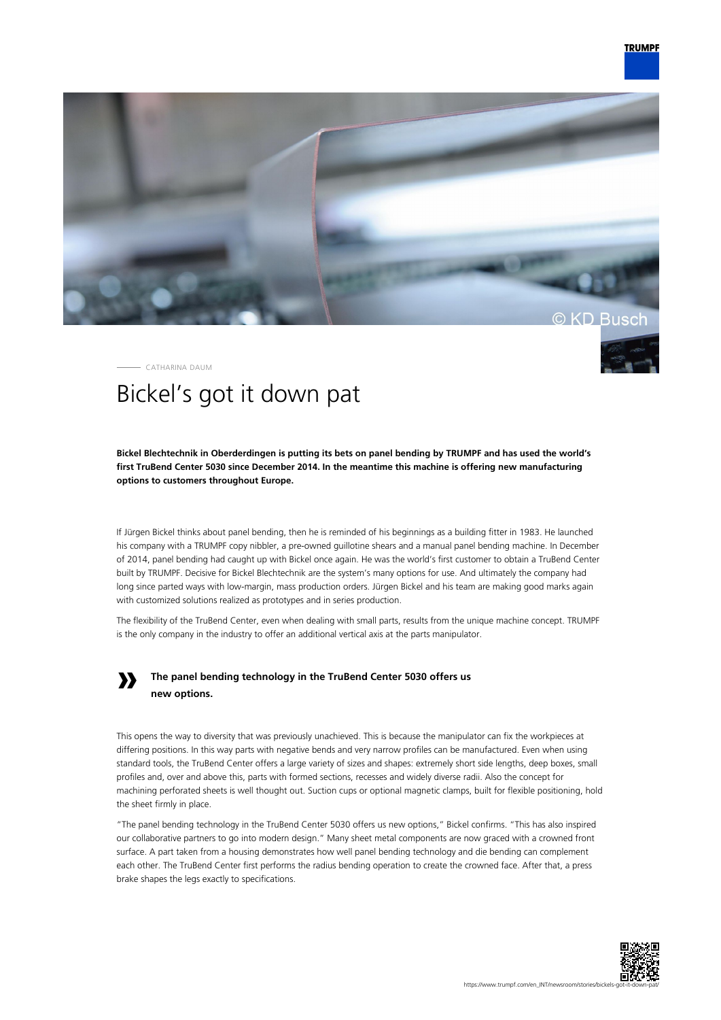

CATHARINA DAUM

# Bickel's got it down pat

#### **Bickel Blechtechnik in Oberderdingen is putting its bets on panel bending by TRUMPF and has used the world's first TruBend Center 5030 since December 2014. In the meantime this machine is offering new manufacturing options to customers throughout Europe.**

If Jürgen Bickel thinks about panel bending, then he is reminded of his beginnings as a building fitter in 1983. He launched his company with a TRUMPF copy nibbler, a pre-owned guillotine shears and a manual panel bending machine. In December of 2014, panel bending had caught up with Bickel once again. He was the world's first customer to obtain a TruBend Center built by TRUMPF. Decisive for Bickel Blechtechnik are the system's many options for use. And ultimately the company had long since parted ways with low-margin, mass production orders. Jürgen Bickel and his team are making good marks again with customized solutions realized as prototypes and in series production.

The flexibility of the TruBend Center, even when dealing with small parts, results from the unique machine concept. TRUMPF is the only company in the industry to offer an additional vertical axis at the parts manipulator.

**»**

## **The panel bending technology in the TruBend Center 5030 offers us new options.**

This opens the way to diversity that was previously unachieved. This is because the manipulator can fix the workpieces at differing positions. In this way parts with negative bends and very narrow profiles can be manufactured. Even when using standard tools, the TruBend Center offers a large variety of sizes and shapes: extremely short side lengths, deep boxes, small profiles and, over and above this, parts with formed sections, recesses and widely diverse radii. Also the concept for machining perforated sheets is well thought out. Suction cups or optional magnetic clamps, built for flexible positioning, hold the sheet firmly in place.

"The panel bending technology in the TruBend Center 5030 offers us new options," Bickel confirms. "This has also inspired our collaborative partners to go into modern design." Many sheet metal components are now graced with a crowned front surface. A part taken from a housing demonstrates how well panel bending technology and die bending can complement each other. The TruBend Center first performs the radius bending operation to create the crowned face. After that, a press brake shapes the legs exactly to specifications.